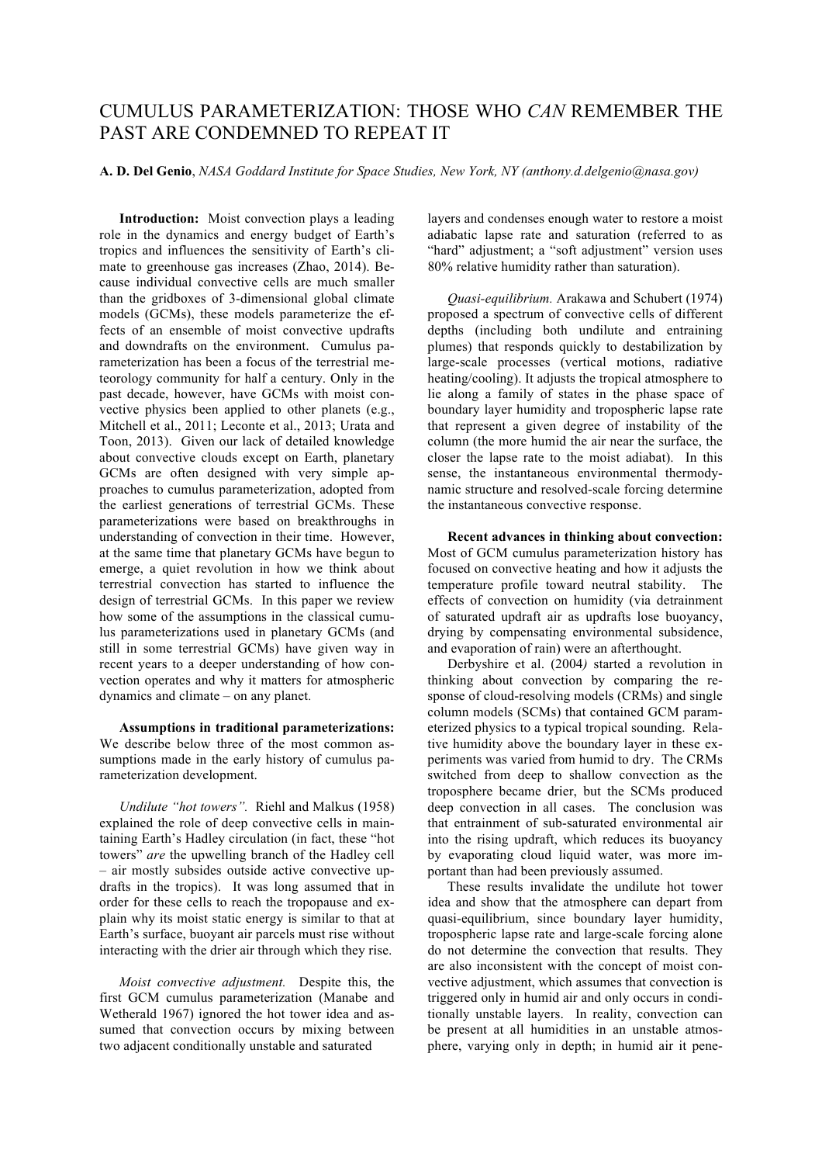## CUMULUS PARAMETERIZATION: THOSE WHO *CAN* REMEMBER THE PAST ARE CONDEMNED TO REPEAT IT

## **A. D. Del Genio**, *NASA Goddard Institute for Space Studies, New York, NY (anthony.d.delgenio@nasa.gov)*

**Introduction:** Moist convection plays a leading role in the dynamics and energy budget of Earth's tropics and influences the sensitivity of Earth's climate to greenhouse gas increases (Zhao, 2014). Because individual convective cells are much smaller than the gridboxes of 3-dimensional global climate models (GCMs), these models parameterize the effects of an ensemble of moist convective updrafts and downdrafts on the environment. Cumulus parameterization has been a focus of the terrestrial meteorology community for half a century. Only in the past decade, however, have GCMs with moist convective physics been applied to other planets (e.g., Mitchell et al., 2011; Leconte et al., 2013; Urata and Toon, 2013). Given our lack of detailed knowledge about convective clouds except on Earth, planetary GCMs are often designed with very simple approaches to cumulus parameterization, adopted from the earliest generations of terrestrial GCMs. These parameterizations were based on breakthroughs in understanding of convection in their time. However, at the same time that planetary GCMs have begun to emerge, a quiet revolution in how we think about terrestrial convection has started to influence the design of terrestrial GCMs. In this paper we review how some of the assumptions in the classical cumulus parameterizations used in planetary GCMs (and still in some terrestrial GCMs) have given way in recent years to a deeper understanding of how convection operates and why it matters for atmospheric dynamics and climate – on any planet.

**Assumptions in traditional parameterizations:** We describe below three of the most common assumptions made in the early history of cumulus parameterization development.

*Undilute "hot towers".* Riehl and Malkus (1958) explained the role of deep convective cells in maintaining Earth's Hadley circulation (in fact, these "hot towers" *are* the upwelling branch of the Hadley cell – air mostly subsides outside active convective updrafts in the tropics). It was long assumed that in order for these cells to reach the tropopause and explain why its moist static energy is similar to that at Earth's surface, buoyant air parcels must rise without interacting with the drier air through which they rise.

*Moist convective adjustment.* Despite this, the first GCM cumulus parameterization (Manabe and Wetherald 1967) ignored the hot tower idea and assumed that convection occurs by mixing between two adjacent conditionally unstable and saturated

layers and condenses enough water to restore a moist adiabatic lapse rate and saturation (referred to as "hard" adjustment; a "soft adjustment" version uses 80% relative humidity rather than saturation).

*Quasi-equilibrium.* Arakawa and Schubert (1974) proposed a spectrum of convective cells of different depths (including both undilute and entraining plumes) that responds quickly to destabilization by large-scale processes (vertical motions, radiative heating/cooling). It adjusts the tropical atmosphere to lie along a family of states in the phase space of boundary layer humidity and tropospheric lapse rate that represent a given degree of instability of the column (the more humid the air near the surface, the closer the lapse rate to the moist adiabat). In this sense, the instantaneous environmental thermodynamic structure and resolved-scale forcing determine the instantaneous convective response.

**Recent advances in thinking about convection:** Most of GCM cumulus parameterization history has focused on convective heating and how it adjusts the temperature profile toward neutral stability. The effects of convection on humidity (via detrainment of saturated updraft air as updrafts lose buoyancy, drying by compensating environmental subsidence, and evaporation of rain) were an afterthought.

Derbyshire et al. (2004*)* started a revolution in thinking about convection by comparing the response of cloud-resolving models (CRMs) and single column models (SCMs) that contained GCM parameterized physics to a typical tropical sounding. Relative humidity above the boundary layer in these experiments was varied from humid to dry. The CRMs switched from deep to shallow convection as the troposphere became drier, but the SCMs produced deep convection in all cases. The conclusion was that entrainment of sub-saturated environmental air into the rising updraft, which reduces its buoyancy by evaporating cloud liquid water, was more important than had been previously assumed.

These results invalidate the undilute hot tower idea and show that the atmosphere can depart from quasi-equilibrium, since boundary layer humidity, tropospheric lapse rate and large-scale forcing alone do not determine the convection that results. They are also inconsistent with the concept of moist convective adjustment, which assumes that convection is triggered only in humid air and only occurs in conditionally unstable layers. In reality, convection can be present at all humidities in an unstable atmosphere, varying only in depth; in humid air it pene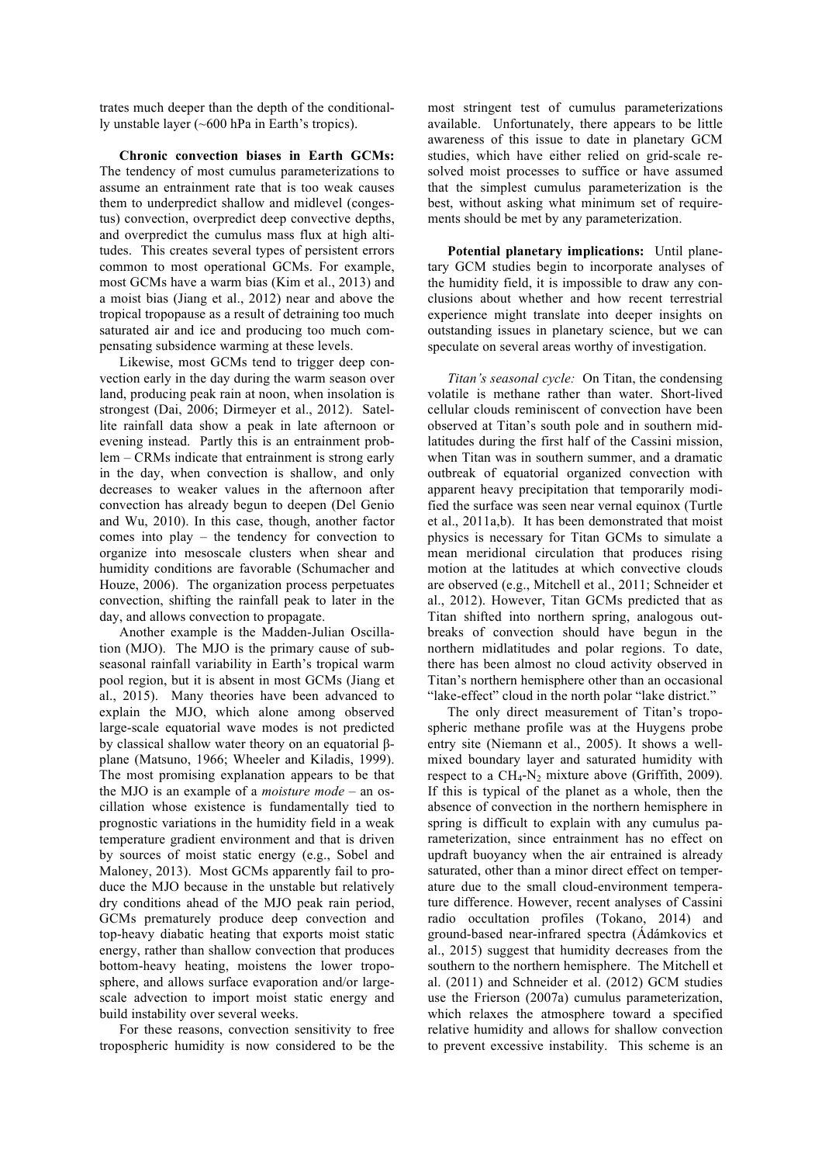trates much deeper than the depth of the conditionally unstable layer (~600 hPa in Earth's tropics).

**Chronic convection biases in Earth GCMs:**  The tendency of most cumulus parameterizations to assume an entrainment rate that is too weak causes them to underpredict shallow and midlevel (congestus) convection, overpredict deep convective depths, and overpredict the cumulus mass flux at high altitudes. This creates several types of persistent errors common to most operational GCMs. For example, most GCMs have a warm bias (Kim et al., 2013) and a moist bias (Jiang et al., 2012) near and above the tropical tropopause as a result of detraining too much saturated air and ice and producing too much compensating subsidence warming at these levels.

Likewise, most GCMs tend to trigger deep convection early in the day during the warm season over land, producing peak rain at noon, when insolation is strongest (Dai, 2006; Dirmeyer et al., 2012). Satellite rainfall data show a peak in late afternoon or evening instead. Partly this is an entrainment problem – CRMs indicate that entrainment is strong early in the day, when convection is shallow, and only decreases to weaker values in the afternoon after convection has already begun to deepen (Del Genio and Wu, 2010). In this case, though, another factor comes into play – the tendency for convection to organize into mesoscale clusters when shear and humidity conditions are favorable (Schumacher and Houze, 2006). The organization process perpetuates convection, shifting the rainfall peak to later in the day, and allows convection to propagate.

Another example is the Madden-Julian Oscillation (MJO). The MJO is the primary cause of subseasonal rainfall variability in Earth's tropical warm pool region, but it is absent in most GCMs (Jiang et al., 2015). Many theories have been advanced to explain the MJO, which alone among observed large-scale equatorial wave modes is not predicted by classical shallow water theory on an equatorial βplane (Matsuno, 1966; Wheeler and Kiladis, 1999). The most promising explanation appears to be that the MJO is an example of a *moisture mode* – an oscillation whose existence is fundamentally tied to prognostic variations in the humidity field in a weak temperature gradient environment and that is driven by sources of moist static energy (e.g., Sobel and Maloney, 2013). Most GCMs apparently fail to produce the MJO because in the unstable but relatively dry conditions ahead of the MJO peak rain period, GCMs prematurely produce deep convection and top-heavy diabatic heating that exports moist static energy, rather than shallow convection that produces bottom-heavy heating, moistens the lower troposphere, and allows surface evaporation and/or largescale advection to import moist static energy and build instability over several weeks.

For these reasons, convection sensitivity to free tropospheric humidity is now considered to be the most stringent test of cumulus parameterizations available. Unfortunately, there appears to be little awareness of this issue to date in planetary GCM studies, which have either relied on grid-scale resolved moist processes to suffice or have assumed that the simplest cumulus parameterization is the best, without asking what minimum set of requirements should be met by any parameterization.

**Potential planetary implications:** Until planetary GCM studies begin to incorporate analyses of the humidity field, it is impossible to draw any conclusions about whether and how recent terrestrial experience might translate into deeper insights on outstanding issues in planetary science, but we can speculate on several areas worthy of investigation.

*Titan's seasonal cycle:* On Titan, the condensing volatile is methane rather than water. Short-lived cellular clouds reminiscent of convection have been observed at Titan's south pole and in southern midlatitudes during the first half of the Cassini mission, when Titan was in southern summer, and a dramatic outbreak of equatorial organized convection with apparent heavy precipitation that temporarily modified the surface was seen near vernal equinox (Turtle et al., 2011a,b). It has been demonstrated that moist physics is necessary for Titan GCMs to simulate a mean meridional circulation that produces rising motion at the latitudes at which convective clouds are observed (e.g., Mitchell et al., 2011; Schneider et al., 2012). However, Titan GCMs predicted that as Titan shifted into northern spring, analogous outbreaks of convection should have begun in the northern midlatitudes and polar regions. To date, there has been almost no cloud activity observed in Titan's northern hemisphere other than an occasional "lake-effect" cloud in the north polar "lake district."

The only direct measurement of Titan's tropospheric methane profile was at the Huygens probe entry site (Niemann et al., 2005). It shows a wellmixed boundary layer and saturated humidity with respect to a  $CH_4$ -N<sub>2</sub> mixture above (Griffith, 2009). If this is typical of the planet as a whole, then the absence of convection in the northern hemisphere in spring is difficult to explain with any cumulus parameterization, since entrainment has no effect on updraft buoyancy when the air entrained is already saturated, other than a minor direct effect on temperature due to the small cloud-environment temperature difference. However, recent analyses of Cassini radio occultation profiles (Tokano, 2014) and ground-based near-infrared spectra (Ádámkovics et al., 2015) suggest that humidity decreases from the southern to the northern hemisphere. The Mitchell et al. (2011) and Schneider et al. (2012) GCM studies use the Frierson (2007a) cumulus parameterization, which relaxes the atmosphere toward a specified relative humidity and allows for shallow convection to prevent excessive instability. This scheme is an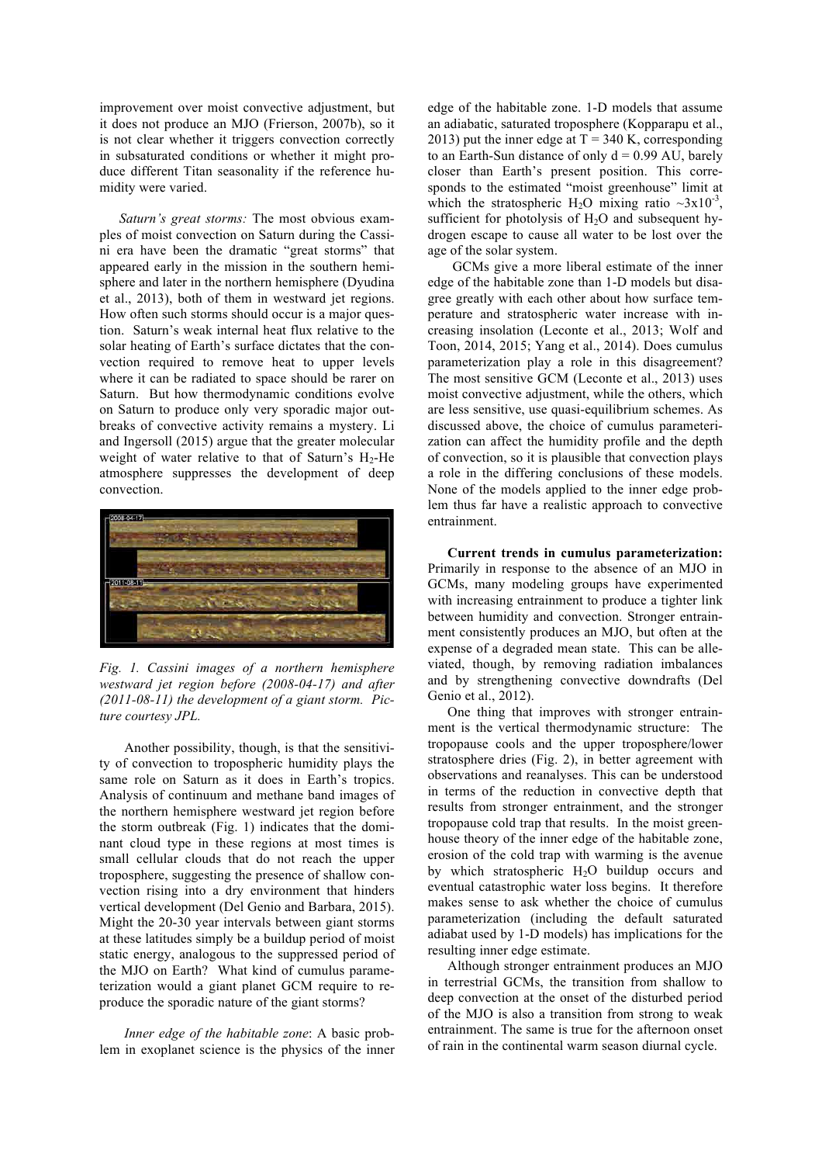improvement over moist convective adjustment, but it does not produce an MJO (Frierson, 2007b), so it is not clear whether it triggers convection correctly in subsaturated conditions or whether it might produce different Titan seasonality if the reference humidity were varied.

*Saturn's great storms:* The most obvious examples of moist convection on Saturn during the Cassini era have been the dramatic "great storms" that appeared early in the mission in the southern hemisphere and later in the northern hemisphere (Dyudina et al., 2013), both of them in westward jet regions. How often such storms should occur is a major question. Saturn's weak internal heat flux relative to the solar heating of Earth's surface dictates that the convection required to remove heat to upper levels where it can be radiated to space should be rarer on Saturn. But how thermodynamic conditions evolve on Saturn to produce only very sporadic major outbreaks of convective activity remains a mystery. Li and Ingersoll (2015) argue that the greater molecular weight of water relative to that of Saturn's  $H_2$ -He atmosphere suppresses the development of deep convection.



*Fig. 1. Cassini images of a northern hemisphere westward jet region before (2008-04-17) and after (2011-08-11) the development of a giant storm. Picture courtesy JPL.*

Another possibility, though, is that the sensitivity of convection to tropospheric humidity plays the same role on Saturn as it does in Earth's tropics. Analysis of continuum and methane band images of the northern hemisphere westward jet region before the storm outbreak (Fig. 1) indicates that the dominant cloud type in these regions at most times is small cellular clouds that do not reach the upper troposphere, suggesting the presence of shallow convection rising into a dry environment that hinders vertical development (Del Genio and Barbara, 2015). Might the 20-30 year intervals between giant storms at these latitudes simply be a buildup period of moist static energy, analogous to the suppressed period of the MJO on Earth? What kind of cumulus parameterization would a giant planet GCM require to reproduce the sporadic nature of the giant storms?

*Inner edge of the habitable zone*: A basic problem in exoplanet science is the physics of the inner edge of the habitable zone. 1-D models that assume an adiabatic, saturated troposphere (Kopparapu et al., 2013) put the inner edge at  $T = 340$  K, corresponding to an Earth-Sun distance of only  $d = 0.99$  AU, barely closer than Earth's present position. This corresponds to the estimated "moist greenhouse" limit at which the stratospheric H<sub>2</sub>O mixing ratio  $\sim 3x10^{-3}$ , sufficient for photolysis of  $H_2O$  and subsequent hydrogen escape to cause all water to be lost over the age of the solar system.

GCMs give a more liberal estimate of the inner edge of the habitable zone than 1-D models but disagree greatly with each other about how surface temperature and stratospheric water increase with increasing insolation (Leconte et al., 2013; Wolf and Toon, 2014, 2015; Yang et al., 2014). Does cumulus parameterization play a role in this disagreement? The most sensitive GCM (Leconte et al., 2013) uses moist convective adjustment, while the others, which are less sensitive, use quasi-equilibrium schemes. As discussed above, the choice of cumulus parameterization can affect the humidity profile and the depth of convection, so it is plausible that convection plays a role in the differing conclusions of these models. None of the models applied to the inner edge problem thus far have a realistic approach to convective entrainment.

**Current trends in cumulus parameterization:**  Primarily in response to the absence of an MJO in GCMs, many modeling groups have experimented with increasing entrainment to produce a tighter link between humidity and convection. Stronger entrainment consistently produces an MJO, but often at the expense of a degraded mean state. This can be alleviated, though, by removing radiation imbalances and by strengthening convective downdrafts (Del Genio et al., 2012).

One thing that improves with stronger entrainment is the vertical thermodynamic structure: The tropopause cools and the upper troposphere/lower stratosphere dries (Fig. 2), in better agreement with observations and reanalyses. This can be understood in terms of the reduction in convective depth that results from stronger entrainment, and the stronger tropopause cold trap that results. In the moist greenhouse theory of the inner edge of the habitable zone, erosion of the cold trap with warming is the avenue by which stratospheric  $H_2O$  buildup occurs and eventual catastrophic water loss begins. It therefore makes sense to ask whether the choice of cumulus parameterization (including the default saturated adiabat used by 1-D models) has implications for the resulting inner edge estimate.

Although stronger entrainment produces an MJO in terrestrial GCMs, the transition from shallow to deep convection at the onset of the disturbed period of the MJO is also a transition from strong to weak entrainment. The same is true for the afternoon onset of rain in the continental warm season diurnal cycle.